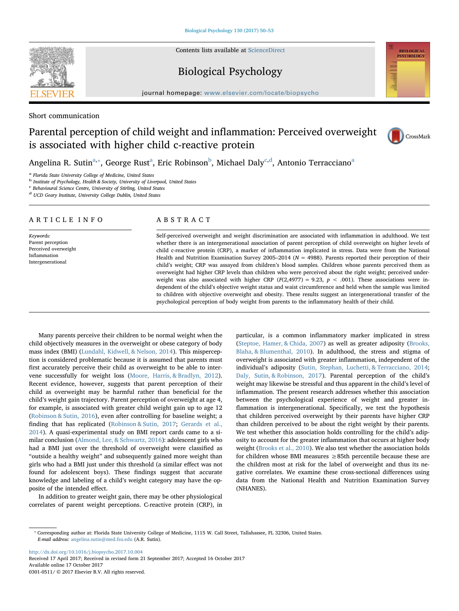Contents lists available at [ScienceDirect](http://www.sciencedirect.com/science/journal/03010511)

# Biological Psychology

journal homepage: [www.elsevier.com/locate/biopsycho](https://www.elsevier.com/locate/biopsycho)

Short communication

**SEVIER** 

# Parental perception of child weight and inflammation: Perceived overweight is associated with higher child c-reactive protein



**BIOLOGICAL PSYCHOLOGY** 

Angelin[a](#page-0-0) R. Sutin<sup>a,</sup>\*, George Rust<sup>a</sup>, Eric Ro[b](#page-0-2)inson<sup>b</sup>, Mi[c](#page-0-3)hael Daly<sup>c[,d](#page-0-4)</sup>, Antonio Terracciano<sup>a</sup>

<span id="page-0-0"></span>Florida State University College of Medicine, United States

<span id="page-0-2"></span><sup>b</sup> Institute of Psychology, Health & Society, University of Liverpool, United States

<span id="page-0-3"></span><sup>c</sup> Behavioural Science Centre, University of Stirling, United States

<span id="page-0-4"></span><sup>d</sup> UCD Geary Institute, University College Dublin, United States

# ARTICLE INFO

Keywords: Parent perception Perceived overweight Inflammation Intergenerational

# ABSTRACT

Self-perceived overweight and weight discrimination are associated with inflammation in adulthood. We test whether there is an intergenerational association of parent perception of child overweight on higher levels of child c-reactive protein (CRP), a marker of inflammation implicated in stress. Data were from the National Health and Nutrition Examination Survey 2005–2014 ( $N = 4988$ ). Parents reported their perception of their child's weight; CRP was assayed from children's blood samples. Children whose parents perceived them as overweight had higher CRP levels than children who were perceived about the right weight; perceived underweight was also associated with higher CRP ( $F(2,4977) = 9.23$ ,  $p < .001$ ). These associations were independent of the child's objective weight status and waist circumference and held when the sample was limited to children with objective overweight and obesity. These results suggest an intergenerational transfer of the psychological perception of body weight from parents to the inflammatory health of their child.

Many parents perceive their children to be normal weight when the child objectively measures in the overweight or obese category of body mass index (BMI) ([Lundahl, Kidwell, & Nelson, 2014\)](#page-3-0). This misperception is considered problematic because it is assumed that parents must first accurately perceive their child as overweight to be able to intervene successfully for weight loss ([Moore, Harris, & Bradlyn, 2012](#page-3-1)). Recent evidence, however, suggests that parent perception of their child as overweight may be harmful rather than beneficial for the child's weight gain trajectory. Parent perception of overweight at age 4, for example, is associated with greater child weight gain up to age 12 ([Robinson & Sutin, 2016](#page-3-2)), even after controlling for baseline weight; a finding that has replicated [\(Robinson & Sutin, 2017;](#page-3-3) [Gerards et al.,](#page-3-4) [2014\)](#page-3-4). A quasi-experimental study on BMI report cards came to a similar conclusion ([Almond, Lee, & Schwartz, 2016](#page-3-5)): adolescent girls who had a BMI just over the threshold of overweight were classified as "outside a healthy weight" and subsequently gained more weight than girls who had a BMI just under this threshold (a similar effect was not found for adolescent boys). These findings suggest that accurate knowledge and labeling of a child's weight category may have the opposite of the intended effect.

In addition to greater weight gain, there may be other physiological correlates of parent weight perceptions. C-reactive protein (CRP), in

particular, is a common inflammatory marker implicated in stress ([Steptoe, Hamer, & Chida, 2007\)](#page-3-6) as well as greater adiposity [\(Brooks,](#page-3-7) [Blaha, & Blumenthal, 2010\)](#page-3-7). In adulthood, the stress and stigma of overweight is associated with greater inflammation, independent of the individual's adiposity ([Sutin, Stephan, Luchetti, & Terracciano, 2014](#page-3-8); [Daly, Sutin, & Robinson, 2017](#page-3-9)). Parental perception of the child's weight may likewise be stressful and thus apparent in the child's level of inflammation. The present research addresses whether this association between the psychological experience of weight and greater inflammation is intergenerational. Specifically, we test the hypothesis that children perceived overweight by their parents have higher CRP than children perceived to be about the right weight by their parents. We test whether this association holds controlling for the child's adiposity to account for the greater inflammation that occurs at higher body weight ([Brooks et al., 2010\)](#page-3-7). We also test whether the association holds for children whose BMI measures  $\geq$ 85th percentile because these are the children most at risk for the label of overweight and thus its negative correlates. We examine these cross-sectional differences using data from the National Health and Nutrition Examination Survey (NHANES).

<http://dx.doi.org/10.1016/j.biopsycho.2017.10.004> Received 17 April 2017; Received in revised form 21 September 2017; Accepted 16 October 2017 Available online 17 October 2017

0301-0511/ © 2017 Elsevier B.V. All rights reserved.

<span id="page-0-1"></span><sup>⁎</sup> Corresponding author at: Florida State University College of Medicine, 1115 W. Call Street, Tallahassee, FL 32306, United States. E-mail address: [angelina.sutin@med.fsu.edu](mailto:angelina.sutin@med.fsu.edu) (A.R. Sutin).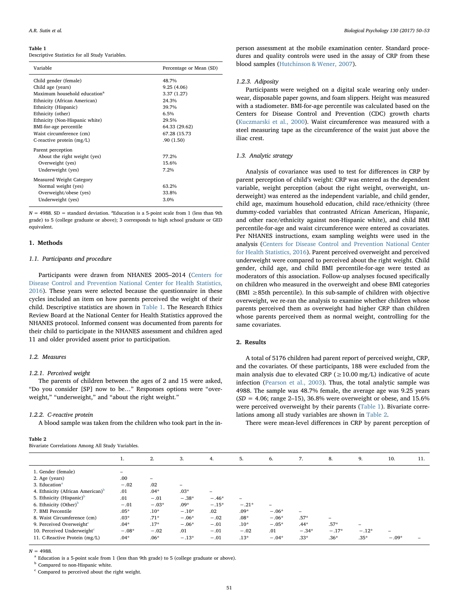#### <span id="page-1-0"></span>Table 1

Descriptive Statistics for all Study Variables.

| Variable                                 | Percentage or Mean (SD) |
|------------------------------------------|-------------------------|
| Child gender (female)                    | 48.7%                   |
| Child age (years)                        | 9.25(4.06)              |
| Maximum household education <sup>a</sup> | 3.37(1.27)              |
| Ethnicity (African American)             | 24.3%                   |
| Ethnicity (Hispanic)                     | 39.7%                   |
| Ethnicity (other)                        | 6.5%                    |
| Ethnicity (Non-Hispanic white)           | 29.5%                   |
| BMI-for-age percentile                   | 64.33 (29.62)           |
| Waist circumference (cm)                 | 67.28 (15.73)           |
| C-reactive protein $(mg/L)$              | .90(1.50)               |
| Parent perception                        |                         |
| About the right weight (yes)             | 77.2%                   |
| Overweight (yes)                         | 15.6%                   |
| Underweight (yes)                        | 7.2%                    |
| <b>Measured Weight Category</b>          |                         |
| Normal weight (yes)                      | 63.2%                   |
| Overweight/obese (yes)                   | 33.8%                   |
| Underweight (yes)                        | 3.0%                    |
|                                          |                         |

 $N = 4988$ . SD = standard deviation. <sup>a</sup>Education is a 5-point scale from 1 (less than 9th grade) to 5 (college graduate or above); 3 corresponds to high school graduate or GED equivalent.

#### 1. Methods

### 1.1. Participants and procedure

Participants were drawn from NHANES 2005–2014 [\(Centers for](#page-3-10) [Disease Control and Prevention National Center for Health Statistics,](#page-3-10) [2016\)](#page-3-10). These years were selected because the questionnaire in these cycles included an item on how parents perceived the weight of their child. Descriptive statistics are shown in [Table 1.](#page-1-0) The Research Ethics Review Board at the National Center for Health Statistics approved the NHANES protocol. Informed consent was documented from parents for their child to participate in the NHANES assessment and children aged 11 and older provided assent prior to participation.

## 1.2. Measures

# 1.2.1. Perceived weight

The parents of children between the ages of 2 and 15 were asked, "Do you consider [SP] now to be…" Responses options were "overweight," "underweight," and "about the right weight."

### 1.2.2. C-reactive protein

A blood sample was taken from the children who took part in the in-

## <span id="page-1-1"></span>Table 2

person assessment at the mobile examination center. Standard procedures and quality controls were used in the assay of CRP from these blood samples ([Hutchinson & Wener, 2007\)](#page-3-11).

#### 1.2.3. Adiposity

Participants were weighed on a digital scale wearing only underwear, disposable paper gowns, and foam slippers. Height was measured with a stadiometer. BMI-for-age percentile was calculated based on the Centers for Disease Control and Prevention (CDC) growth charts ([Kuczmarski et al., 2000\)](#page-3-12). Waist circumference was measured with a steel measuring tape as the circumference of the waist just above the iliac crest.

## 1.3. Analytic strategy

Analysis of covariance was used to test for differences in CRP by parent perception of child's weight: CRP was entered as the dependent variable, weight perception (about the right weight, overweight, underweight) was entered as the independent variable, and child gender, child age, maximum household education, child race/ethnicity (three dummy-coded variables that contrasted African American, Hispanic, and other race/ethnicity against non-Hispanic white), and child BMI percentile-for-age and waist circumference were entered as covariates. Per NHANES instructions, exam sampling weights were used in the analysis ([Centers for Disease Control and Prevention National Center](#page-3-10) [for Health Statistics, 2016\)](#page-3-10). Parent perceived overweight and perceived underweight were compared to perceived about the right weight. Child gender, child age, and child BMI percentile-for-age were tested as moderators of this association. Follow-up analyses focused specifically on children who measured in the overweight and obese BMI categories  $(BMI \geq 85th$  percentile). In this sub-sample of children with objective overweight, we re-ran the analysis to examine whether children whose parents perceived them as overweight had higher CRP than children whose parents perceived them as normal weight, controlling for the same covariates.

## 2. Results

A total of 5176 children had parent report of perceived weight, CRP, and the covariates. Of these participants, 188 were excluded from the main analysis due to elevated CRP ( $\geq$ 10.00 mg/L) indicative of acute infection [\(Pearson et al., 2003](#page-3-13)). Thus, the total analytic sample was 4988. The sample was 48.7% female, the average age was 9.25 years  $(SD = 4.06; \text{ range } 2{\text -}15)$ , 36.8% were overweight or obese, and 15.6% were perceived overweight by their parents ([Table 1\)](#page-1-0). Bivariate correlations among all study variables are shown in [Table 2](#page-1-1).

There were mean-level differences in CRP by parent perception of

|                                              | 1.      | 2.                       | 3.      | 4.                       | 5.      | 6.       | 7.      | 8.      | 9.      | 10.                      | 11. |
|----------------------------------------------|---------|--------------------------|---------|--------------------------|---------|----------|---------|---------|---------|--------------------------|-----|
| 1. Gender (female)                           | -       |                          |         |                          |         |          |         |         |         |                          |     |
| 2. Age (years)                               | .00     | $\overline{\phantom{0}}$ |         |                          |         |          |         |         |         |                          |     |
| 3. Education <sup>a</sup>                    | $-.02$  | .02                      |         |                          |         |          |         |         |         |                          |     |
| 4. Ethnicity (African American) <sup>b</sup> | .01     | $.04*$                   | $.03*$  | $\overline{\phantom{0}}$ |         |          |         |         |         |                          |     |
| 5. Ethnicity (Hispanic) <sup>b</sup>         | .01     | $-.01$                   | $-.38*$ | $-.46*$                  |         |          |         |         |         |                          |     |
| 6. Ethnicity (Other) <sup>b</sup>            | $-.01$  | $-.03*$                  | $.09*$  | $-.15*$                  | $-.21*$ | $\equiv$ |         |         |         |                          |     |
| 7. BMI Percentile                            | $.05*$  | $.10*$                   | $-.10*$ | .02                      | $.09*$  | $-.06*$  |         |         |         |                          |     |
| 8. Waist Circumference (cm)                  | $.03*$  | $.71*$                   | $-.06*$ | $-.02$                   | $.08*$  | $-.06*$  | $.57*$  | -       |         |                          |     |
| 9. Perceived Overweight <sup>c</sup>         | $.04*$  | $.17*$                   | $-.06*$ | $-.01$                   | $.10*$  | $-.05*$  | $.44*$  | $.57*$  | -       |                          |     |
| 10. Perceived Underweight $c$                | $-.08*$ | $-.02$                   | .01     | $-.01$                   | $-.02$  | .01      | $-.34*$ | $-.17*$ | $-.12*$ | $\overline{\phantom{a}}$ |     |
| 11. C-Reactive Protein (mg/L)                | $.04*$  | $.06*$                   | $-.13*$ | $-.01$                   | $.13*$  | $-.04*$  | $.33*$  | $.36*$  | $.35*$  | $-.09*$                  |     |
|                                              |         |                          |         |                          |         |          |         |         |         |                          |     |

 $N = 4988$ .

<span id="page-1-2"></span><sup>a</sup> Education is a 5-point scale from 1 (less than 9th grade) to 5 (college graduate or above).

<span id="page-1-3"></span>**b** Compared to non-Hispanic white.

<span id="page-1-4"></span> $\,^{\mathrm{c}}$  Compared to perceived about the right weight.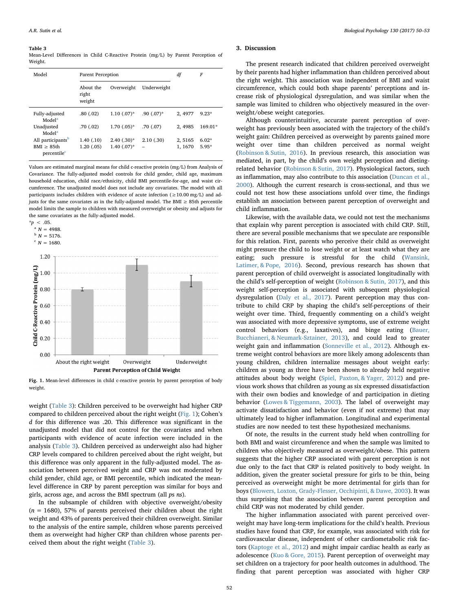#### <span id="page-2-0"></span>Table 3

Mean-Level Differences in Child C-Reactive Protein (mg/L) by Parent Perception of Weight.

| Model                                 | <b>Parent Perception</b>     | df             | F            |         |           |
|---------------------------------------|------------------------------|----------------|--------------|---------|-----------|
|                                       | About the<br>right<br>weight | Overweight     | Underweight  |         |           |
| Fully-adjusted<br>Model <sup>a</sup>  | .80(0.02)                    | $1.10(0.07)$ * | $.90(0.07)*$ | 2, 4977 | $9.23*$   |
| Unadjusted<br>Model <sup>a</sup>      | .70(0.02)                    | $1.70(0.05)*$  | .70(0.07)    | 2.4985  | $169.01*$ |
| All participants <sup>b</sup>         | 1.40(0.10)                   | $2.40(0.30)*$  | 2.10(0.30)   | 2, 5165 | $6.02*$   |
| BMI > 85th<br>percentile <sup>c</sup> | 1.20(0.05)                   | $1.40(07)*$    |              | 1, 1670 | $5.95*$   |

Values are estimated marginal means for child c-reactive protein (mg/L) from Analysis of Covariance. The fully-adjusted model controls for child gender, child age, maximum household education, child race/ethnicity, child BMI percentile-for-age, and waist circumference. The unadjusted model does not include any covariates. The model with all participants includes children with evidence of acute infection (≥10.00 mg/L) and adjusts for the same covariates as in the fully-adjusted model. The BMI  $\geq$  85th percentile model limits the sample to children with measured overweight or obesity and adjusts for the same covariates as the fully-adjusted model.

<span id="page-2-4"></span><span id="page-2-3"></span><span id="page-2-2"></span><span id="page-2-1"></span>

Fig. 1. Mean-level differences in child c-reactive protein by parent perception of body weight.

weight [\(Table 3\)](#page-2-0): Children perceived to be overweight had higher CRP compared to children perceived about the right weight [\(Fig. 1\)](#page-2-1); Cohen's d for this difference was .20. This difference was significant in the unadjusted model that did not control for the covariates and when participants with evidence of acute infection were included in the analysis [\(Table 3](#page-2-0)). Children perceived as underweight also had higher CRP levels compared to children perceived about the right weight, but this difference was only apparent in the fully-adjusted model. The association between perceived weight and CRP was not moderated by child gender, child age, or BMI percentile, which indicated the meanlevel difference in CRP by parent perception was similar for boys and girls, across age, and across the BMI spectrum (all ps ns).

In the subsample of children with objective overweight/obesity  $(n = 1680)$ , 57% of parents perceived their children about the right weight and 43% of parents perceived their children overweight. Similar to the analysis of the entire sample, children whose parents perceived them as overweight had higher CRP than children whose parents perceived them about the right weight [\(Table 3](#page-2-0)).

#### 3. Discussion

The present research indicated that children perceived overweight by their parents had higher inflammation than children perceived about the right weight. This association was independent of BMI and waist circumference, which could both shape parents' perceptions and increase risk of physiological dysregulation, and was similar when the sample was limited to children who objectively measured in the overweight/obese weight categories.

Although counterintuitive, accurate parent perception of overweight has previously been associated with the trajectory of the child's weight gain: Children perceived as overweight by parents gained more weight over time than children perceived as normal weight ([Robinson & Sutin, 2016\)](#page-3-2). In previous research, this association was mediated, in part, by the child's own weight perception and dietingrelated behavior [\(Robinson & Sutin, 2017\)](#page-3-3). Physiological factors, such as inflammation, may also contribute to this association ([Duncan et al.,](#page-3-14) [2000\)](#page-3-14). Although the current research is cross-sectional, and thus we could not test how these associations unfold over time, the findings establish an association between parent perception of overweight and child inflammation.

Likewise, with the available data, we could not test the mechanisms that explain why parent perception is associated with child CRP. Still, there are several possible mechanisms that we speculate are responsible for this relation. First, parents who perceive their child as overweight might pressure the child to lose weight or at least watch what they are eating; such pressure is stressful for the child [\(Wansink,](#page-3-15) [Latimer, & Pope, 2016](#page-3-15)). Second, previous research has shown that parent perception of child overweight is associated longitudinally with the child's self-perception of weight ([Robinson & Sutin, 2017\)](#page-3-3), and this weight self-perception is associated with subsequent physiological dysregulation ([Daly et al., 2017\)](#page-3-9). Parent perception may thus contribute to child CRP by shaping the child's self-perceptions of their weight over time. Third, frequently commenting on a child's weight was associated with more depressive symptoms, use of extreme weight control behaviors (e.g., laxatives), and binge eating ([Bauer,](#page-3-16) [Bucchianeri, & Neumark-Sztainer, 2013](#page-3-16)), and could lead to greater weight gain and inflammation ([Sonneville et al., 2012](#page-3-17)). Although extreme weight control behaviors are more likely among adolescents than young children, children internalize messages about weight early: children as young as three have been shown to already held negative attitudes about body weight [\(Spiel, Paxton, & Yager, 2012\)](#page-3-18) and previous work shows that children as young as six expressed dissatisfaction with their own bodies and knowledge of and participation in dieting behavior ([Lowes & Tiggemann, 2003](#page-3-19)). The label of overweight may activate dissatisfaction and behavior (even if not extreme) that may ultimately lead to higher inflammation. Longitudinal and experimental studies are now needed to test these hypothesized mechanisms.

Of note, the results in the current study held when controlling for both BMI and waist circumference and when the sample was limited to children who objectively measured as overweight/obese. This pattern suggests that the higher CRP associated with parent perception is not due only to the fact that CRP is related positively to body weight. In addition, given the greater societal pressure for girls to be thin, being perceived as overweight might be more detrimental for girls than for boys ([Blowers, Loxton, Grady-Flesser, Occhipinti, & Dawe, 2003\)](#page-3-20). It was thus surprising that the association between parent perception and child CRP was not moderated by child gender.

The higher inflammation associated with parent perceived overweight may have long-term implications for the child's health. Previous studies have found that CRP, for example, was associated with risk for cardiovascular disease, independent of other cardiometabolic risk factors [\(Kaptoge et al., 2012](#page-3-21)) and might impair cardiac health as early as adolescence [\(Kuo & Gore, 2015\)](#page-3-22). Parent perception of overweight may set children on a trajectory for poor health outcomes in adulthood. The finding that parent perception was associated with higher CRP